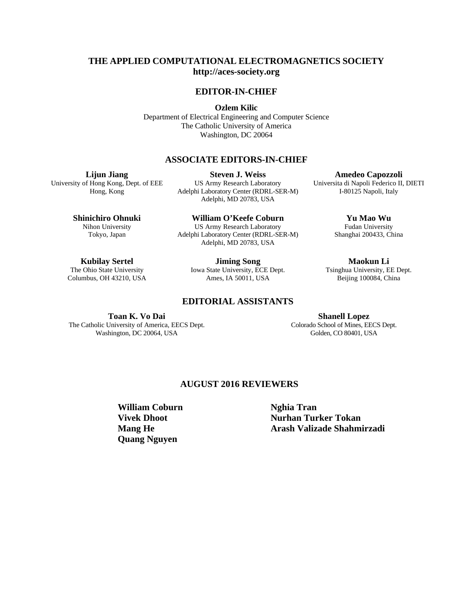## **THE APPLIED COMPUTATIONAL ELECTROMAGNETICS SOCIETY [http://aces-society.org](http://aces-society.org/)**

#### **EDITOR-IN-CHIEF**

#### **Ozlem Kilic**

Department of Electrical Engineering and Computer Science The Catholic University of America Washington, DC 20064

#### **ASSOCIATE EDITORS-IN-CHIEF**

**Lijun Jiang**

University of Hong Kong, Dept. of EEE Hong, Kong

**Steven J. Weiss** US Army Research Laboratory Adelphi Laboratory Center (RDRL-SER-M) Adelphi, MD 20783, USA

**Amedeo Capozzoli** Universita di Napoli Federico II, DIETI I-80125 Napoli, Italy

**Shinichiro Ohnuki** Nihon University Tokyo, Japan

**William O'Keefe Coburn** US Army Research Laboratory Adelphi Laboratory Center (RDRL-SER-M) Adelphi, MD 20783, USA

**Yu Mao Wu** Fudan University Shanghai 200433, China

**Maokun Li** Tsinghua University, EE Dept. Beijing 100084, China

**Kubilay Sertel**

The Ohio State University Columbus, OH 43210, USA

**Jiming Song** Iowa State University, ECE Dept. Ames, IA 50011, USA

### **EDITORIAL ASSISTANTS**

**Toan K. Vo Dai** The Catholic University of America, EECS Dept. Washington, DC 20064, USA

**Shanell Lopez** Colorado School of Mines, EECS Dept. Golden, CO 80401, USA

## **AUGUST 2016 REVIEWERS**

**William Coburn Nghia Tran Vivek Dhoot Mang He Quang Nguyen**

**Nurhan Turker Tokan Arash Valizade Shahmirzadi**